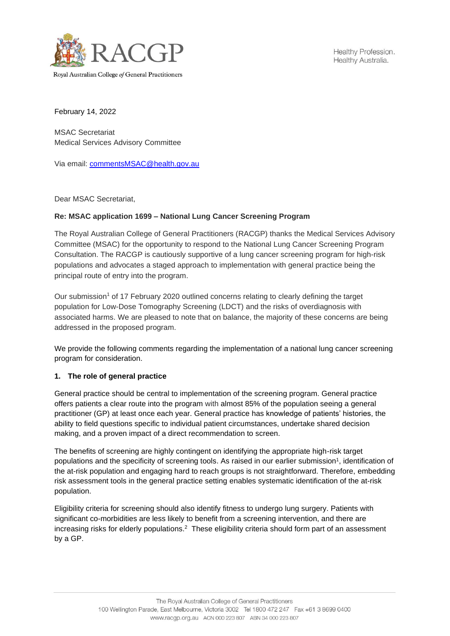

Healthy Profession. Healthy Australia.

February 14, 2022

MSAC Secretariat Medical Services Advisory Committee

Via email: [commentsMSAC@health.gov.au](mailto:commentsMSAC@health.gov.au)

Dear MSAC Secretariat,

## **Re: MSAC application 1699 – National Lung Cancer Screening Program**

The Royal Australian College of General Practitioners (RACGP) thanks the Medical Services Advisory Committee (MSAC) for the opportunity to respond to the National Lung Cancer Screening Program Consultation. The RACGP is cautiously supportive of a lung cancer screening program for high-risk populations and advocates a staged approach to implementation with general practice being the principal route of entry into the program.

Our submission<sup>1</sup> of 17 February 2020 outlined concerns relating to clearly defining the target population for Low-Dose Tomography Screening (LDCT) and the risks of overdiagnosis with associated harms. We are pleased to note that on balance, the majority of these concerns are being addressed in the proposed program.

We provide the following comments regarding the implementation of a national lung cancer screening program for consideration.

## **1. The role of general practice**

General practice should be central to implementation of the screening program. General practice offers patients a clear route into the program with almost 85% of the population seeing a general practitioner (GP) at least once each year. General practice has knowledge of patients' histories, the ability to field questions specific to individual patient circumstances, undertake shared decision making, and a proven impact of a direct recommendation to screen.

The benefits of screening are highly contingent on identifying the appropriate high-risk target populations and the specificity of screening tools. As raised in our earlier submission<sup>1</sup>, identification of the at-risk population and engaging hard to reach groups is not straightforward. Therefore, embedding risk assessment tools in the general practice setting enables systematic identification of the at-risk population.

Eligibility criteria for screening should also identify fitness to undergo lung surgery. Patients with significant co-morbidities are less likely to benefit from a screening intervention, and there are increasing risks for elderly populations.<sup>2</sup> These eligibility criteria should form part of an assessment by a GP.